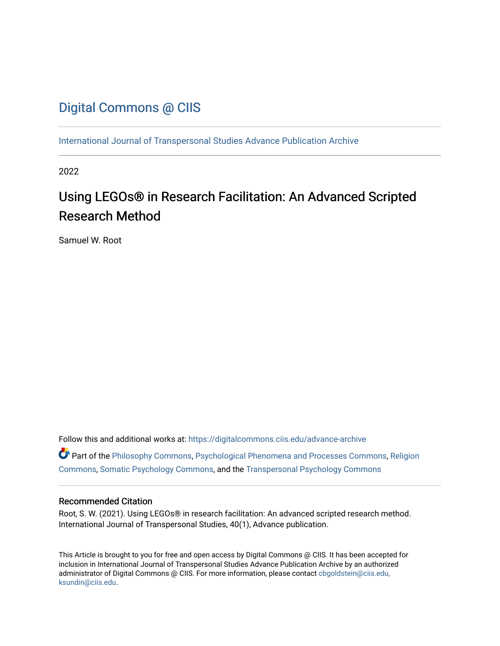### [Digital Commons @ CIIS](https://digitalcommons.ciis.edu/)

[International Journal of Transpersonal Studies Advance Publication Archive](https://digitalcommons.ciis.edu/advance-archive)

2022

# Using LEGOs® in Research Facilitation: An Advanced Scripted Research Method

Samuel W. Root

Follow this and additional works at: [https://digitalcommons.ciis.edu/advance-archive](https://digitalcommons.ciis.edu/advance-archive?utm_source=digitalcommons.ciis.edu%2Fadvance-archive%2F36&utm_medium=PDF&utm_campaign=PDFCoverPages) Part of the [Philosophy Commons,](https://network.bepress.com/hgg/discipline/525?utm_source=digitalcommons.ciis.edu%2Fadvance-archive%2F36&utm_medium=PDF&utm_campaign=PDFCoverPages) [Psychological Phenomena and Processes Commons,](https://network.bepress.com/hgg/discipline/914?utm_source=digitalcommons.ciis.edu%2Fadvance-archive%2F36&utm_medium=PDF&utm_campaign=PDFCoverPages) [Religion](https://network.bepress.com/hgg/discipline/538?utm_source=digitalcommons.ciis.edu%2Fadvance-archive%2F36&utm_medium=PDF&utm_campaign=PDFCoverPages)  [Commons](https://network.bepress.com/hgg/discipline/538?utm_source=digitalcommons.ciis.edu%2Fadvance-archive%2F36&utm_medium=PDF&utm_campaign=PDFCoverPages), [Somatic Psychology Commons](https://network.bepress.com/hgg/discipline/1431?utm_source=digitalcommons.ciis.edu%2Fadvance-archive%2F36&utm_medium=PDF&utm_campaign=PDFCoverPages), and the [Transpersonal Psychology Commons](https://network.bepress.com/hgg/discipline/1388?utm_source=digitalcommons.ciis.edu%2Fadvance-archive%2F36&utm_medium=PDF&utm_campaign=PDFCoverPages) 

#### Recommended Citation

Root, S. W. (2021). Using LEGOs® in research facilitation: An advanced scripted research method. International Journal of Transpersonal Studies, 40(1), Advance publication.

This Article is brought to you for free and open access by Digital Commons @ CIIS. It has been accepted for inclusion in International Journal of Transpersonal Studies Advance Publication Archive by an authorized administrator of Digital Commons @ CIIS. For more information, please contact [cbgoldstein@ciis.edu,](mailto:cbgoldstein@ciis.edu,%20ksundin@ciis.edu)  [ksundin@ciis.edu](mailto:cbgoldstein@ciis.edu,%20ksundin@ciis.edu).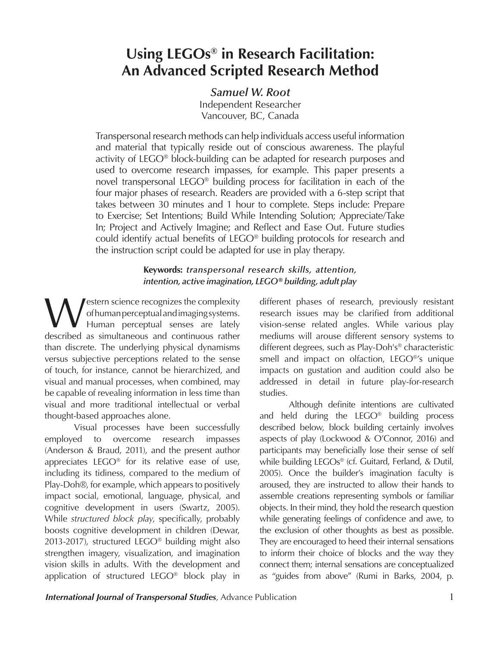## **Using LEGOs® in Research Facilitation: An Advanced Scripted Research Method**

### *Samuel W. Root*

Independent Researcher Vancouver, BC, Canada

Transpersonal research methods can help individuals access useful information and material that typically reside out of conscious awareness. The playful activity of LEGO® block-building can be adapted for research purposes and used to overcome research impasses, for example. This paper presents a novel transpersonal LEGO® building process for facilitation in each of the four major phases of research. Readers are provided with a 6-step script that takes between 30 minutes and 1 hour to complete. Steps include: Prepare to Exercise; Set Intentions; Build While Intending Solution; Appreciate/Take In; Project and Actively Imagine; and Reflect and Ease Out. Future studies could identify actual benefits of LEGO® building protocols for research and the instruction script could be adapted for use in play therapy.

#### **Keywords:** *transpersonal research skills, attention, intention, active imagination, LEGO® building, adult play*

Western science recognizes the complexity of human perceptual and imaging systems. Human perceptual senses are lately described as simultaneous and continuous rather than discrete. The underlying physical dynamisms versus subjective perceptions related to the sense of touch, for instance, cannot be hierarchized, and visual and manual processes, when combined, may be capable of revealing information in less time than visual and more traditional intellectual or verbal thought-based approaches alone.

Visual processes have been successfully employed to overcome research impasses (Anderson & Braud, 2011), and the present author appreciates LEGO® for its relative ease of use, including its tidiness, compared to the medium of Play-Doh®, for example, which appears to positively impact social, emotional, language, physical, and cognitive development in users (Swartz, 2005). While *structured block play*, specifically, probably boosts cognitive development in children (Dewar, 2013-2017), structured LEGO<sup>®</sup> building might also strengthen imagery, visualization, and imagination vision skills in adults. With the development and application of structured LEGO® block play in

different phases of research, previously resistant research issues may be clarified from additional vision-sense related angles. While various play mediums will arouse different sensory systems to different degrees, such as Play-Doh's® characteristic smell and impact on olfaction, LEGO®'s unique impacts on gustation and audition could also be addressed in detail in future play-for-research studies.

Although definite intentions are cultivated and held during the LEGO® building process described below, block building certainly involves aspects of play (Lockwood & O'Connor, 2016) and participants may beneficially lose their sense of self while building LEGOs® (cf. Guitard, Ferland, & Dutil, 2005). Once the builder's imagination faculty is aroused, they are instructed to allow their hands to assemble creations representing symbols or familiar objects. In their mind, they hold the research question while generating feelings of confidence and awe, to the exclusion of other thoughts as best as possible. They are encouraged to heed their internal sensations to inform their choice of blocks and the way they connect them; internal sensations are conceptualized as "guides from above" (Rumi in Barks, 2004, p.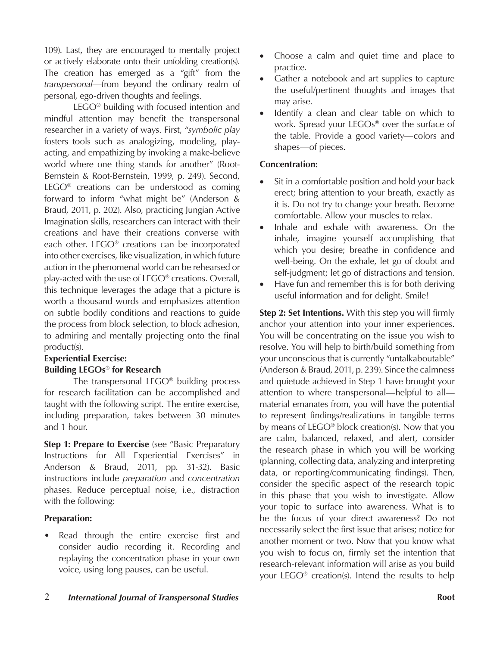109). Last, they are encouraged to mentally project or actively elaborate onto their unfolding creation(s). The creation has emerged as a "gift" from the *transpersonal*—from beyond the ordinary realm of personal, ego-driven thoughts and feelings.

LEGO® building with focused intention and mindful attention may benefit the transpersonal researcher in a variety of ways. First, "*symbolic play* fosters tools such as analogizing, modeling, playacting, and empathizing by invoking a make-believe world where one thing stands for another" (Root-Bernstein & Root-Bernstein, 1999, p. 249). Second, LEGO® creations can be understood as coming forward to inform "what might be" (Anderson & Braud, 2011, p. 202). Also, practicing Jungian Active Imagination skills, researchers can interact with their creations and have their creations converse with each other. LEGO® creations can be incorporated into other exercises, like visualization, in which future action in the phenomenal world can be rehearsed or play-acted with the use of LEGO® creations. Overall, this technique leverages the adage that a picture is worth a thousand words and emphasizes attention on subtle bodily conditions and reactions to guide the process from block selection, to block adhesion, to admiring and mentally projecting onto the final product(s).

### **Experiential Exercise: Building LEGOs® for Research**

The transpersonal LEGO® building process for research facilitation can be accomplished and taught with the following script. The entire exercise, including preparation, takes between 30 minutes and 1 hour.

**Step 1: Prepare to Exercise** (see "Basic Preparatory Instructions for All Experiential Exercises" in Anderson & Braud, 2011, pp. 31-32). Basic instructions include *preparation* and *concentration* phases. Reduce perceptual noise, i.e., distraction with the following:

### **Preparation:**

Read through the entire exercise first and consider audio recording it. Recording and replaying the concentration phase in your own voice, using long pauses, can be useful.

- Choose a calm and quiet time and place to practice.
- Gather a notebook and art supplies to capture the useful/pertinent thoughts and images that may arise.
- Identify a clean and clear table on which to work. Spread your LEGOs**®** over the surface of the table. Provide a good variety—colors and shapes—of pieces.

#### **Concentration:**

- Sit in a comfortable position and hold your back erect; bring attention to your breath, exactly as it is. Do not try to change your breath. Become comfortable. Allow your muscles to relax.
- Inhale and exhale with awareness. On the inhale, imagine yourself accomplishing that which you desire; breathe in confidence and well-being. On the exhale, let go of doubt and self-judgment; let go of distractions and tension.
- Have fun and remember this is for both deriving useful information and for delight. Smile!

**Step 2: Set Intentions.** With this step you will firmly anchor your attention into your inner experiences. You will be concentrating on the issue you wish to resolve. You will help to birth/build something from your unconscious that is currently "untalkaboutable" (Anderson & Braud, 2011, p. 239). Since the calmness and quietude achieved in Step 1 have brought your attention to where transpersonal—helpful to all material emanates from, you will have the potential to represent findings/realizations in tangible terms by means of LEGO® block creation(s). Now that you are calm, balanced, relaxed, and alert, consider the research phase in which you will be working (planning, collecting data, analyzing and interpreting data, or reporting/communicating findings). Then, consider the specific aspect of the research topic in this phase that you wish to investigate. Allow your topic to surface into awareness. What is to be the focus of your direct awareness? Do not necessarily select the first issue that arises; notice for another moment or two. Now that you know what you wish to focus on, firmly set the intention that research-relevant information will arise as you build your LEGO® creation(s). Intend the results to help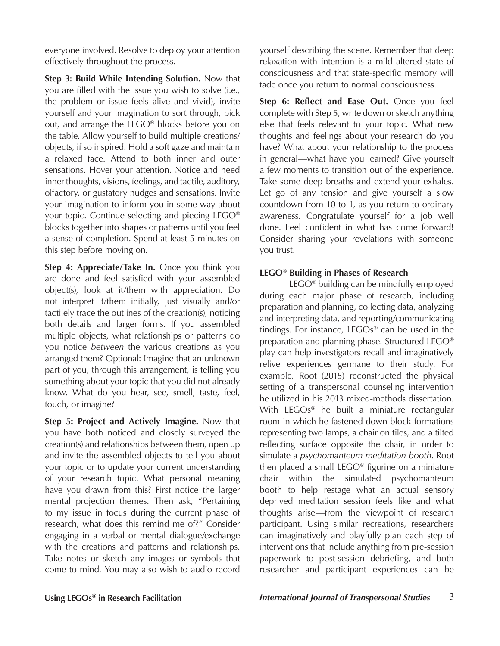everyone involved. Resolve to deploy your attention effectively throughout the process.

**Step 3: Build While Intending Solution.** Now that you are filled with the issue you wish to solve (i.e., the problem or issue feels alive and vivid), invite yourself and your imagination to sort through, pick out, and arrange the LEGO® blocks before you on the table. Allow yourself to build multiple creations/ objects, if so inspired. Hold a soft gaze and maintain a relaxed face. Attend to both inner and outer sensations. Hover your attention. Notice and heed inner thoughts, visions, feelings, and tactile, auditory, olfactory, or gustatory nudges and sensations. Invite your imagination to inform you in some way about your topic. Continue selecting and piecing LEGO® blocks together into shapes or patterns until you feel a sense of completion. Spend at least 5 minutes on this step before moving on.

**Step 4: Appreciate/Take In.** Once you think you are done and feel satisfied with your assembled object(s), look at it/them with appreciation. Do not interpret it/them initially, just visually and/or tactilely trace the outlines of the creation(s), noticing both details and larger forms. If you assembled multiple objects, what relationships or patterns do you notice *between* the various creations as you arranged them? Optional: Imagine that an unknown part of you, through this arrangement, is telling you something about your topic that you did not already know. What do you hear, see, smell, taste, feel, touch, or imagine?

**Step 5: Project and Actively Imagine.** Now that you have both noticed and closely surveyed the creation(s) and relationships between them, open up and invite the assembled objects to tell you about your topic or to update your current understanding of your research topic. What personal meaning have you drawn from this? First notice the larger mental projection themes. Then ask, "Pertaining to my issue in focus during the current phase of research, what does this remind me of?" Consider engaging in a verbal or mental dialogue/exchange with the creations and patterns and relationships. Take notes or sketch any images or symbols that come to mind. You may also wish to audio record

yourself describing the scene. Remember that deep relaxation with intention is a mild altered state of consciousness and that state-specific memory will fade once you return to normal consciousness.

**Step 6: Reflect and Ease Out.** Once you feel complete with Step 5, write down or sketch anything else that feels relevant to your topic. What new thoughts and feelings about your research do you have? What about your relationship to the process in general—what have you learned? Give yourself a few moments to transition out of the experience. Take some deep breaths and extend your exhales. Let go of any tension and give yourself a slow countdown from 10 to 1, as you return to ordinary awareness. Congratulate yourself for a job well done. Feel confident in what has come forward! Consider sharing your revelations with someone you trust.

#### **LEGO® Building in Phases of Research**

LEGO® building can be mindfully employed during each major phase of research, including preparation and planning, collecting data, analyzing and interpreting data, and reporting/communicating findings. For instance, LEGOs**®** can be used in the preparation and planning phase. Structured LEGO**®** play can help investigators recall and imaginatively relive experiences germane to their study. For example, Root (2015) reconstructed the physical setting of a transpersonal counseling intervention he utilized in his 2013 mixed-methods dissertation. With LEGOs**®** he built a miniature rectangular room in which he fastened down block formations representing two lamps, a chair on tiles, and a tilted reflecting surface opposite the chair, in order to simulate a *psychomanteum meditation booth*. Root then placed a small LEGO® figurine on a miniature chair within the simulated psychomanteum booth to help restage what an actual sensory deprived meditation session feels like and what thoughts arise—from the viewpoint of research participant. Using similar recreations, researchers can imaginatively and playfully plan each step of interventions that include anything from pre-session paperwork to post-session debriefing, and both researcher and participant experiences can be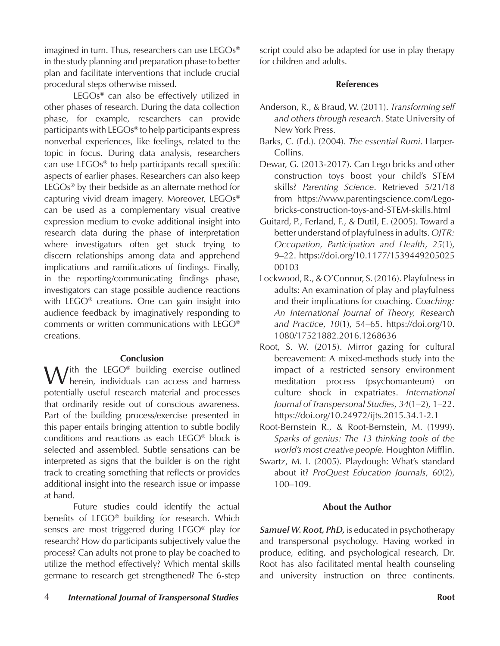imagined in turn. Thus, researchers can use LEGOs**®** in the study planning and preparation phase to better plan and facilitate interventions that include crucial procedural steps otherwise missed.

LEGOs**®** can also be effectively utilized in other phases of research. During the data collection phase, for example, researchers can provide participants with LEGOs**®** to help participants express nonverbal experiences, like feelings, related to the topic in focus. During data analysis, researchers can use LEGOs**®** to help participants recall specific aspects of earlier phases. Researchers can also keep LEGOs**®** by their bedside as an alternate method for capturing vivid dream imagery. Moreover, LEGOs**®** can be used as a complementary visual creative expression medium to evoke additional insight into research data during the phase of interpretation where investigators often get stuck trying to discern relationships among data and apprehend implications and ramifications of findings. Finally, in the reporting/communicating findings phase, investigators can stage possible audience reactions with LEGO**®** creations. One can gain insight into audience feedback by imaginatively responding to comments or written communications with LEGO® creations.

#### **Conclusion**

With the LEGO<sup>®</sup> building exercise outlined<br>
herein, individuals can access and harness potentially useful research material and processes that ordinarily reside out of conscious awareness. Part of the building process/exercise presented in this paper entails bringing attention to subtle bodily conditions and reactions as each LEGO® block is selected and assembled. Subtle sensations can be interpreted as signs that the builder is on the right track to creating something that reflects or provides additional insight into the research issue or impasse at hand.

Future studies could identify the actual benefits of LEGO® building for research. Which senses are most triggered during LEGO® play for research? How do participants subjectively value the process? Can adults not prone to play be coached to utilize the method effectively? Which mental skills germane to research get strengthened? The 6-step script could also be adapted for use in play therapy for children and adults.

#### **References**

- Anderson, R., & Braud, W. (2011). *Transforming self and others through research*. State University of New York Press.
- Barks, C. (Ed.). (2004). *The essential Rumi*. Harper-Collins.
- Dewar, G. (2013-2017). Can Lego bricks and other construction toys boost your child's STEM skills? *Parenting Science*. Retrieved 5/21/18 from https://www.parentingscience.com/Legobricks-construction-toys-and-STEM-skills.html
- Guitard, P., Ferland, F., & Dutil, E. (2005). Toward a better understand of playfulness in adults. *OJTR: Occupation, Participation and Health*, *25*(1), 9–22. https://doi.org/10.1177/1539449205025 00103
- Lockwood, R., & O'Connor, S. (2016). Playfulness in adults: An examination of play and playfulness and their implications for coaching. *Coaching: An International Journal of Theory, Research and Practice*, *10*(1), 54–65. https://doi.org/10. 1080/17521882.2016.1268636
- Root, S. W. (2015). Mirror gazing for cultural bereavement: A mixed-methods study into the impact of a restricted sensory environment meditation process (psychomanteum) on culture shock in expatriates. *International Journal of Transpersonal Studies*, *34*(1–2), 1–22. https://doi.org/10.24972/ijts.2015.34.1-2.1
- Root-Bernstein R., & Root-Bernstein, M. (1999). *Sparks of genius: The 13 thinking tools of the world's most creative people.* Houghton Mifflin.
- Swartz, M. I. (2005). Playdough: What's standard about it? *ProQuest Education Journals*, *60*(2), 100–109.

### **About the Author**

*Samuel W. Root, PhD,* is educated in psychotherapy and transpersonal psychology. Having worked in produce, editing, and psychological research, Dr. Root has also facilitated mental health counseling and university instruction on three continents.